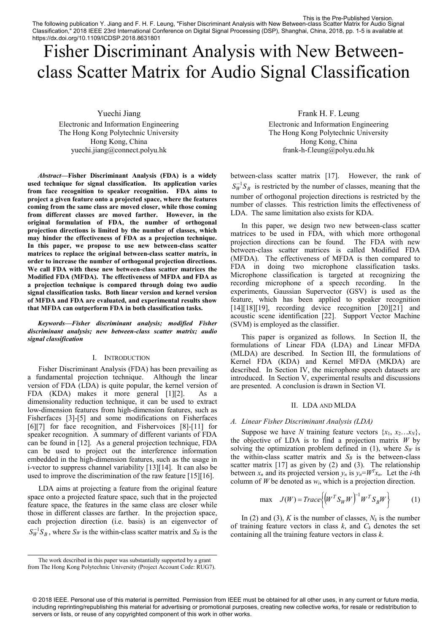The following publication Y. Jiang and F. H. F. Leung, "Fisher Discriminant Analysis with New Between-class Scatter Matrix for Audio Signal Classification," 2018 IEEE 23rd International Conference on Digital Signal Processing (DSP), Shanghai, China, 2018, pp. 1-5 is available at https://dx.doi.org/10.1109/ICDSP.2018.8631801 This is the Pre-Published Version.

# Fisher Discriminant Analysis with New Betweenclass Scatter Matrix for Audio Signal Classification

Yuechi Jiang

Electronic and Information Engineering The Hong Kong Polytechnic University Hong Kong, China yuechi.jiang@connect.polyu.hk

*Abstract***—Fisher Discriminant Analysis (FDA) is a widely used technique for signal classification. Its application varies from face recognition to speaker recognition. FDA aims to project a given feature onto a projected space, where the features coming from the same class are moved closer, while those coming from different classes are moved farther. However, in the original formulation of FDA, the number of orthogonal projection directions is limited by the number of classes, which may hinder the effectiveness of FDA as a projection technique. In this paper, we propose to use new between-class scatter matrices to replace the original between-class scatter matrix, in order to increase the number of orthogonal projection directions. We call FDA with these new between-class scatter matrices the Modified FDA (MFDA). The effectiveness of MFDA and FDA as a projection technique is compared through doing two audio signal classification tasks. Both linear version and kernel version of MFDA and FDA are evaluated, and experimental results show that MFDA can outperform FDA in both classification tasks.** 

*Keywords—Fisher discriminant analysis; modified Fisher discriminant analysis; new between-class scatter matrix; audio signal classification* 

## I. INTRODUCTION

Fisher Discriminant Analysis (FDA) has been prevailing as a fundamental projection technique. Although the linear version of FDA (LDA) is quite popular, the kernel version of FDA (KDA) makes it more general [1][2]. As a dimensionality reduction technique, it can be used to extract low-dimension features from high-dimension features, such as Fisherfaces [3]-[5] and some modifications on Fisherfaces [6][7] for face recognition, and Fishervoices [8]-[11] for speaker recognition. A summary of different variants of FDA can be found in [12]. As a general projection technique, FDA can be used to project out the interference information embedded in the high-dimension features, such as the usage in i-vector to suppress channel variability [13][14]. It can also be used to improve the discrimination of the raw feature [15][16].

LDA aims at projecting a feature from the original feature space onto a projected feature space, such that in the projected feature space, the features in the same class are closer while those in different classes are farther. In the projection space, each projection direction (i.e. basis) is an eigenvector of  $S_W^{-1}S_B$ , where  $S_W$  is the within-class scatter matrix and  $S_B$  is the Frank H. F. Leung

Electronic and Information Engineering The Hong Kong Polytechnic University Hong Kong, China frank-h-f.leung@polyu.edu.hk

between-class scatter matrix [17]. However, the rank of  $S_W^{-1}S_B$  is restricted by the number of classes, meaning that the number of orthogonal projection directions is restricted by the number of classes. This restriction limits the effectiveness of LDA. The same limitation also exists for KDA.

In this paper, we design two new between-class scatter matrices to be used in FDA, with which more orthogonal projection directions can be found. The FDA with new between-class scatter matrices is called Modified FDA (MFDA). The effectiveness of MFDA is then compared to FDA in doing two microphone classification tasks. Microphone classification is targeted at recognizing the recording microphone of a speech recording. In the experiments, Gaussian Supervector (GSV) is used as the feature, which has been applied to speaker recognition [14][18][19], recording device recognition [20][21] and acoustic scene identification [22]. Support Vector Machine (SVM) is employed as the classifier.

This paper is organized as follows. In Section II, the formulations of Linear FDA (LDA) and Linear MFDA (MLDA) are described. In Section III, the formulations of Kernel FDA (KDA) and Kernel MFDA (MKDA) are described. In Section IV, the microphone speech datasets are introduced. In Section V, experimental results and discussions are presented. A conclusion is drawn in Section VI.

# II. LDA AND MLDA

# *A. Linear Fisher Discriminant Analysis (LDA)*

Suppose we have *N* training feature vectors  $\{x_1, x_2, \ldots x_N\}$ , the objective of LDA is to find a projection matrix *W* by solving the optimization problem defined in (1), where  $S_W$  is the within-class scatter matrix and  $S_B$  is the between-class scatter matrix [17] as given by (2) and (3). The relationship between  $x_n$  and its projected version  $y_n$  is  $y_n = W^T x_n$ . Let the *i*-th

column of *W* be denoted as *w<sub>i</sub>*, which is a projection direction.  
\nmax 
$$
J(W) = Trace \{ (W^T S_W W)^{-1} W^T S_B W \}
$$
 (1)

In (2) and (3), *K* is the number of classes,  $N_k$  is the number of training feature vectors in class  $k$ , and  $C_k$  denotes the set containing all the training feature vectors in class *k*.

The work described in this paper was substantially supported by a grant from The Hong Kong Polytechnic University (Project Account Code: RUG7).

<sup>© 2018</sup> IEEE. Personal use of this material is permitted. Permission from IEEE must be obtained for all other uses, in any current or future media, including reprinting/republishing this material for advertising or promotional purposes, creating new collective works, for resale or redistribution to servers or lists, or reuse of any copyrighted component of this work in other works.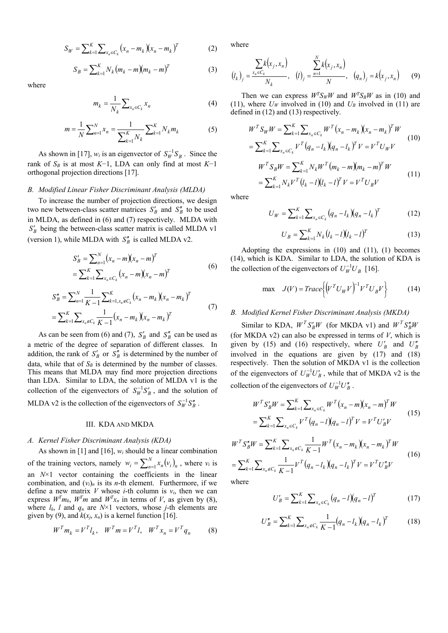$$
S_W = \sum_{k=1}^{K} \sum_{x_n \in C_k} (x_n - m_k)(x_n - m_k)^T
$$
 (2)

$$
S_B = \sum_{k=1}^{K} N_k (m_k - m)(m_k - m)^T
$$
 (3)

where

$$
m_k = \frac{1}{N_k} \sum_{x_n \in C_k} x_n \tag{4}
$$

$$
m = \frac{1}{N} \sum_{n=1}^{N} x_n = \frac{1}{\sum_{k=1}^{K} N_k} \sum_{k=1}^{K} N_k m_k
$$
 (5)

As shown in [17],  $w_i$  is an eigenvector of  $S_W^{-1}S_B$ . Since the rank of *SB* is at most *K*−1, LDA can only find at most *K*−1 orthogonal projection directions [17].

### *B. Modified Linear Fisher Discriminant Analysis (MLDA)*

To increase the number of projection directions, we design two new between-class scatter matrices  $S'_B$  and  $S''_B$  to be used in MLDA, as defined in (6) and (7) respectively. MLDA with *B S* being the between-class scatter matrix is called MLDA v1 (version 1), while MLDA with  $S_B^r$  is called MLDA v2.

$$
S'_{B} = \sum_{n=1}^{N} (x_{n} - m)(x_{n} - m)^{T}
$$
  
= 
$$
\sum_{k=1}^{K} \sum_{x_{n} \in C_{k}} (x_{n} - m)(x_{n} - m)^{T}
$$
 (6)

$$
\sum_{k=1}^{N} \sum_{n=1}^{N} \frac{1}{K-1} \sum_{k=1, x_n \in C_k}^{K} (x_n - m_k)(x_n - m_k)^T
$$
  
= 
$$
\sum_{k=1}^{K} \sum_{x_n \in C_k} \frac{1}{K-1} (x_n - m_k)(x_n - m_k)^T
$$
 (7)

As can be seen from (6) and (7),  $S'_B$  and  $S''_B$  can be used as a metric of the degree of separation of different classes. In addition, the rank of  $S'_B$  or  $S''_B$  is determined by the number of data, while that of  $S_B$  is determined by the number of classes. This means that MLDA may find more projection directions than LDA. Similar to LDA, the solution of MLDA v1 is the collection of the eigenvectors of  $S_W^{-1}S_B'$ , and the solution of MLDA v2 is the collection of the eigenvectors of  $S_W^{-1}S_B''$ .

# III. KDA AND MKDA

# *A. Kernel Fisher Discriminant Analysis (KDA)*

As shown in [1] and [16], *wi* should be a linear combination of the training vectors, namely  $w_i = \sum_{n=1}^{N} x_n (v_i)_n$ ,  $w_i = \sum_{n=1}^{N} x_n (v_i)_n$ , where  $v_i$  is an *N*×1 vector containing the coefficients in the linear combination, and  $(v_i)_n$  is its *n*-th element. Furthermore, if we define a new matrix *V* whose *i*-th column is  $v_i$ , then we can express  $W^T m_k$ ,  $W^T m$  and  $W^T x_n$  in terms of *V*, as given by (8), where  $l_k$ ,  $l$  and  $q_n$  are  $N \times 1$  vectors, whose  $j$ -th elements are given by (9), and  $k(x_j, x_n)$  is a kernel function [16].

$$
WT mk = VT lk, \quad WT m = VT l, \quad WT xn = VT qn \tag{8}
$$

where

where  
\n
$$
(l_k)_j = \frac{\sum_{x_n \in C_k} k(x_j, x_n)}{N_k}, \quad (l)_j = \frac{\sum_{n=1}^N k(x_j, x_n)}{N}, \quad (q_n)_j = k(x_j, x_n)
$$
\n(9)

Then we can express  $W^T S_W W$  and  $W^T S_B W$  as in (10) and (11), where  $U_W$  involved in (10) and  $U_B$  involved in (11) are

defined in (12) and (13) respectively.  
\n
$$
W^{T} S_{W} W = \sum_{k=1}^{K} \sum_{x_{n} \in C_{k}} W^{T} (x_{n} - m_{k}) (x_{n} - m_{k})^{T} W
$$
\n
$$
= \sum_{k=1}^{K} \sum_{x_{n} \in C_{k}} V^{T} (q_{n} - l_{k}) (q_{n} - l_{k})^{T} V = V^{T} U_{W} V
$$
\n
$$
W^{T} S_{B} W = \sum_{k=1}^{K} N_{k} W^{T} (m_{k} - m) (m_{k} - m)^{T} W
$$
\n
$$
= \sum_{k=1}^{K} N_{k} V^{T} (l_{k} - l) (l_{k} - l)^{T} V = V^{T} U_{B} V
$$
\n(11)

where

$$
U_W = \sum_{k=1}^{K} \sum_{x_n \in C_k} (q_n - l_k)(q_n - l_k)^T
$$
 (12)

$$
U_B = \sum_{k=1}^{K} N_k (l_k - l)(l_k - l)^T
$$
 (13)

Adopting the expressions in  $(10)$  and  $(11)$ ,  $(1)$  becomes (14), which is KDA. Similar to LDA, the solution of KDA is

the collection of the eigenvectors of 
$$
U_W^{-1}U_B
$$
 [16].  
\nmax  $J(V) = Trace \{ (V^T U_W V)^{-1} V^T U_B V \}$  (14)

# *B. Modified Kernel Fisher Discriminant Analysis (MKDA)*

Similar to KDA,  $W^T S'_B W$  (for MKDA v1) and  $W^T S''_B W$ (for MKDA v2) can also be expressed in terms of *V*, which is given by (15) and (16) respectively, where  $U'_B$  and  $U''_B$ involved in the equations are given by (17) and (18) respectively. Then the solution of MKDA v1 is the collection of the eigenvectors of  $U_W^{-1}U_B'$ , while that of MKDA v2 is the

collection of the eigenvectors of 
$$
U_W^{-1}U_B''
$$
.  
\n
$$
W^T S'_B W = \sum_{k=1}^K \sum_{x_n \in C_k} W^T (x_n - m)(x_n - m)^T W
$$
\n
$$
= \sum_{k=1}^K \sum_{x_n \in C_k} V^T (q_n - l)(q_n - l)^T V = V^T U'_B V
$$
\n(15)

$$
= \sum_{k=1}^{K} \sum_{x_n \in C_k} V^T (q_n - l)(q_n - l)^T V = V^T U'_B V
$$
  

$$
W^T S''_B W = \sum_{k=1}^{K} \sum_{x_n \in C_k} \frac{1}{K-1} W^T (x_n - m_k)(x_n - m_k)^T W
$$
  

$$
= \sum_{k=1}^{K} \sum_{x_n \in C_k} \frac{1}{K-1} V^T (q_n - l_k)(q_n - l_k)^T V = V^T U''_B V
$$
 (16)

$$
= \sum_{k=1}^{K} \sum_{x_n \notin C_k} \frac{1}{K-1} V^T (q_n - l_k)(q_n - l_k)^T V = V^T U''_B V
$$

where

$$
U'_B = \sum_{k=1}^K \sum_{x_n \in C_k} (q_n - l)(q_n - l)^T
$$
 (17)

$$
U''_B = \sum_{k=1}^K \sum_{x_n \notin C_k} \frac{1}{K-1} (q_n - l_k)(q_n - l_k)^T
$$
 (18)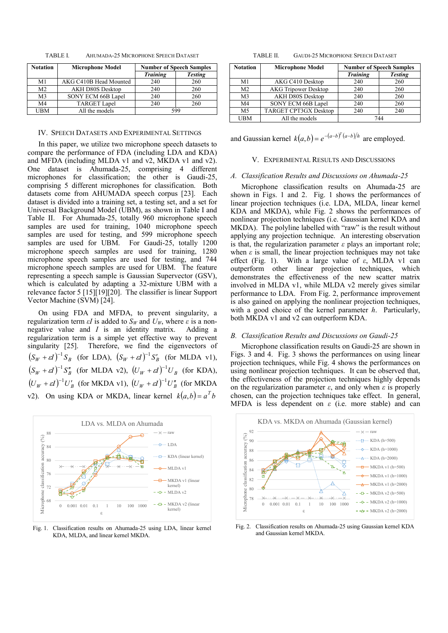TABLE I. AHUMADA-25 MICROPHONE SPEECH DATASET

| <b>Notation</b> | <b>Microphone Model</b> | <b>Number of Speech Samples</b> |                |
|-----------------|-------------------------|---------------------------------|----------------|
|                 |                         | <b>Training</b>                 | <b>Testing</b> |
| M1              | AKG C410B Head Mounted  | 240                             | 260            |
| M <sub>2</sub>  | <b>AKH D80S Desktop</b> | 240                             | 260            |
| M <sub>3</sub>  | SONY ECM 66B Lapel      | 240                             | 260            |
| M <sub>4</sub>  | <b>TARGET Lapel</b>     | 240                             | 260            |
| UBM             | All the models          | 599                             |                |

#### IV. SPEECH DATASETS AND EXPERIMENTAL SETTINGS

In this paper, we utilize two microphone speech datasets to compare the performance of FDA (including LDA and KDA) and MFDA (including MLDA v1 and v2, MKDA v1 and v2). One dataset is Ahumada-25, comprising 4 different microphones for classification; the other is Gaudi-25, comprising 5 different microphones for classification. Both datasets come from AHUMADA speech corpus [23]. Each dataset is divided into a training set, a testing set, and a set for Universal Background Model (UBM), as shown in Table I and Table II. For Ahumada-25, totally 960 microphone speech samples are used for training, 1040 microphone speech samples are used for testing, and 599 microphone speech samples are used for UBM. For Gaudi-25, totally 1200 microphone speech samples are used for training, 1280 microphone speech samples are used for testing, and 744 microphone speech samples are used for UBM. The feature representing a speech sample is Gaussian Supervector (GSV), which is calculated by adapting a 32-mixture UBM with a relevance factor 5 [15][19][20]. The classifier is linear Support Vector Machine (SVM) [24].

On using FDA and MFDA, to prevent singularity, a regularization term *εI* is added to  $S_W$  and  $U_W$ , where *ε* is a nonnegative value and *I* is an identity matrix. Adding a regularization term is a simple yet effective way to prevent singularity [25]. Therefore, we find the eigenvectors of  $(S_W + \varepsilon I)^{-1} S_B$  (for LDA),  $(S_W + \varepsilon I)^{-1} S'_B$  (for MLDA v1),  $(S_W + \varepsilon I)^{-1} S_B''$  (for MLDA v2),  $(U_W + \varepsilon I)^{-1} U_B$  (for KDA),  $(U_W + \varepsilon I)^{-1}U_B'$  (for MKDA v1),  $(U_W + \varepsilon I)^{-1}U_B''$  (for MKDA v2). On using KDA or MKDA, linear kernel  $k(a,b) = a^Tb$ 



Fig. 1. Classification results on Ahumada-25 using LDA, linear kernel KDA, MLDA, and linear kernel MKDA.

TABLE II. GAUDI-25 MICROPHONE SPEECH DATASET

| <b>Notation</b> | <b>Microphone Model</b>      | <b>Number of Speech Samples</b> |                |
|-----------------|------------------------------|---------------------------------|----------------|
|                 |                              | <b>Training</b>                 | <b>Testing</b> |
| M1              | AKG C410 Desktop             | 240                             | 260            |
| M <sub>2</sub>  | <b>AKG Tripower Desktop</b>  | 240                             | 260            |
| M <sub>3</sub>  | AKH D80S Desktop             | 240                             | 260            |
| M <sub>4</sub>  | SONY ECM 66B Lapel           | 240                             | 260            |
| M <sub>5</sub>  | <b>TARGET CPT3GX Desktop</b> | 240                             | 240            |
| <b>UBM</b>      | All the models               | 744                             |                |

and Gaussian kernel  $k(a,b) = e^{-(a-b)^T (a-b)/h}$  are employed.

# V. EXPERIMENTAL RESULTS AND DISCUSSIONS

## *A. Classification Results and Discussions on Ahumada-25*

Microphone classification results on Ahumada-25 are shown in Figs. 1 and 2. Fig. 1 shows the performances of linear projection techniques (i.e. LDA, MLDA, linear kernel KDA and MKDA), while Fig. 2 shows the performances of nonlinear projection techniques (i.e. Gaussian kernel KDA and MKDA). The polyline labelled with "raw" is the result without applying any projection technique. An interesting observation is that, the regularization parameter  $\varepsilon$  plays an important role; when  $\varepsilon$  is small, the linear projection techniques may not take effect (Fig. 1). With a large value of *ε*, MLDA v1 can outperform other linear projection techniques, which demonstrates the effectiveness of the new scatter matrix involved in MLDA v1, while MLDA v2 merely gives similar performance to LDA. From Fig. 2, performance improvement is also gained on applying the nonlinear projection techniques, with a good choice of the kernel parameter *h*. Particularly, both MKDA v1 and v2 can outperform KDA.

# *B. Classification Results and Discussions on Gaudi-25*

Microphone classification results on Gaudi-25 are shown in Figs. 3 and 4. Fig. 3 shows the performances on using linear projection techniques, while Fig. 4 shows the performances on using nonlinear projection techniques. It can be observed that, the effectiveness of the projection techniques highly depends on the regularization parameter *ε*, and only when *ε* is properly chosen, can the projection techniques take effect. In general, MFDA is less dependent on *ε* (i.e. more stable) and can



Fig. 2. Classification results on Ahumada-25 using Gaussian kernel KDA and Gaussian kernel MKDA.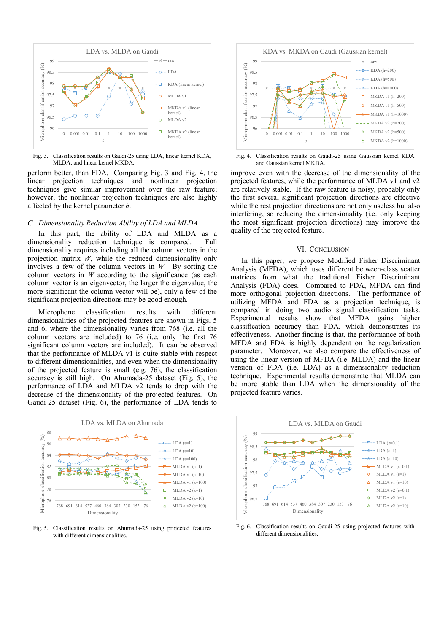

Fig. 3. Classification results on Gaudi-25 using LDA, linear kernel KDA, MLDA, and linear kernel MKDA.

perform better, than FDA. Comparing Fig. 3 and Fig. 4, the linear projection techniques and nonlinear projection techniques give similar improvement over the raw feature; however, the nonlinear projection techniques are also highly affected by the kernel parameter *h*.

# *C. Dimensionality Reduction Ability of LDA and MLDA*

In this part, the ability of LDA and MLDA as a dimensionality reduction technique is compared. Full dimensionality requires including all the column vectors in the projection matrix *W*, while the reduced dimensionality only involves a few of the column vectors in *W*. By sorting the column vectors in  $W$  according to the significance (as each column vector is an eigenvector, the larger the eigenvalue, the more significant the column vector will be), only a few of the significant projection directions may be good enough.

Microphone classification results with different dimensionalities of the projected features are shown in Figs. 5 and 6, where the dimensionality varies from 768 (i.e. all the column vectors are included) to 76 (i.e. only the first 76 significant column vectors are included). It can be observed that the performance of MLDA v1 is quite stable with respect to different dimensionalities, and even when the dimensionality of the projected feature is small (e.g. 76), the classification accuracy is still high. On Ahumada-25 dataset (Fig. 5), the performance of LDA and MLDA v2 tends to drop with the decrease of the dimensionality of the projected features. On Gaudi-25 dataset (Fig. 6), the performance of LDA tends to



Fig. 5. Classification results on Ahumada-25 using projected features with different dimensionalities.



Fig. 4. Classification results on Gaudi-25 using Gaussian kernel KDA and Gaussian kernel MKDA.

improve even with the decrease of the dimensionality of the projected features, while the performance of MLDA v1 and v2 are relatively stable. If the raw feature is noisy, probably only the first several significant projection directions are effective while the rest projection directions are not only useless but also interfering, so reducing the dimensionality (i.e. only keeping the most significant projection directions) may improve the quality of the projected feature.

## VI. CONCLUSION

In this paper, we propose Modified Fisher Discriminant Analysis (MFDA), which uses different between-class scatter matrices from what the traditional Fisher Discriminant Analysis (FDA) does. Compared to FDA, MFDA can find more orthogonal projection directions. The performance of utilizing MFDA and FDA as a projection technique, is compared in doing two audio signal classification tasks. Experimental results show that MFDA gains higher classification accuracy than FDA, which demonstrates its effectiveness. Another finding is that, the performance of both MFDA and FDA is highly dependent on the regularization parameter. Moreover, we also compare the effectiveness of using the linear version of MFDA (i.e. MLDA) and the linear version of FDA (i.e. LDA) as a dimensionality reduction technique. Experimental results demonstrate that MLDA can be more stable than LDA when the dimensionality of the projected feature varies.



Fig. 6. Classification results on Gaudi-25 using projected features with different dimensionalities.